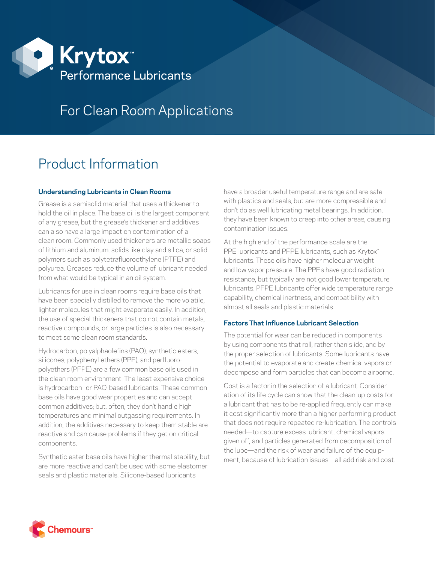

## For Clean Room Applications

# Product Information

## **Understanding Lubricants in Clean Rooms**

Grease is a semisolid material that uses a thickener to hold the oil in place. The base oil is the largest component of any grease, but the grease's thickener and additives can also have a large impact on contamination of a clean room. Commonly used thickeners are metallic soaps of lithium and aluminum, solids like clay and silica, or solid polymers such as polytetrafluoroethylene (PTFE) and polyurea. Greases reduce the volume of lubricant needed from what would be typical in an oil system.

Lubricants for use in clean rooms require base oils that have been specially distilled to remove the more volatile, lighter molecules that might evaporate easily. In addition, the use of special thickeners that do not contain metals, reactive compounds, or large particles is also necessary to meet some clean room standards.

Hydrocarbon, polyalphaolefins (PAO), synthetic esters, silicones, polyphenyl ethers (PPE), and perfluoropolyethers (PFPE) are a few common base oils used in the clean room environment. The least expensive choice is hydrocarbon- or PAO-based lubricants. These common base oils have good wear properties and can accept common additives; but, often, they don't handle high temperatures and minimal outgassing requirements. In addition, the additives necessary to keep them stable are reactive and can cause problems if they get on critical components.

Synthetic ester base oils have higher thermal stability, but are more reactive and can't be used with some elastomer seals and plastic materials. Silicone-based lubricants

have a broader useful temperature range and are safe with plastics and seals, but are more compressible and don't do as well lubricating metal bearings. In addition, they have been known to creep into other areas, causing contamination issues.

At the high end of the performance scale are the PPE lubricants and PFPE lubricants, such as Krytox™ lubricants. These oils have higher molecular weight and low vapor pressure. The PPEs have good radiation resistance, but typically are not good lower temperature lubricants. PFPE lubricants offer wide temperature range capability, chemical inertness, and compatibility with almost all seals and plastic materials.

### **Factors That Influence Lubricant Selection**

The potential for wear can be reduced in components by using components that roll, rather than slide, and by the proper selection of lubricants. Some lubricants have the potential to evaporate and create chemical vapors or decompose and form particles that can become airborne.

Cost is a factor in the selection of a lubricant. Consideration of its life cycle can show that the clean-up costs for a lubricant that has to be re-applied frequently can make it cost significantly more than a higher performing product that does not require repeated re-lubrication. The controls needed—to capture excess lubricant, chemical vapors given off, and particles generated from decomposition of the lube—and the risk of wear and failure of the equipment, because of lubrication issues—all add risk and cost.

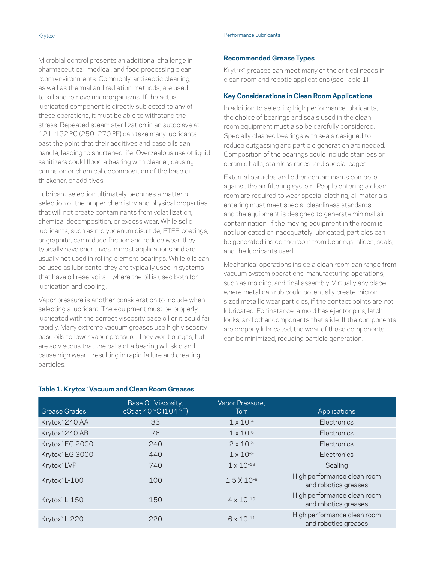Microbial control presents an additional challenge in pharmaceutical, medical, and food processing clean room environments. Commonly, antiseptic cleaning, as well as thermal and radiation methods, are used to kill and remove microorganisms. If the actual lubricated component is directly subjected to any of these operations, it must be able to withstand the stress. Repeated steam sterilization in an autoclave at 121–132 °C (250–270 °F) can take many lubricants past the point that their additives and base oils can handle, leading to shortened life. Overzealous use of liquid sanitizers could flood a bearing with cleaner, causing corrosion or chemical decomposition of the base oil, thickener, or additives.

Lubricant selection ultimately becomes a matter of selection of the proper chemistry and physical properties that will not create contaminants from volatilization, chemical decomposition, or excess wear. While solid lubricants, such as molybdenum disulfide, PTFE coatings, or graphite, can reduce friction and reduce wear, they typically have short lives in most applications and are usually not used in rolling element bearings. While oils can be used as lubricants, they are typically used in systems that have oil reservoirs—where the oil is used both for lubrication and cooling.

Vapor pressure is another consideration to include when selecting a lubricant. The equipment must be properly lubricated with the correct viscosity base oil or it could fail rapidly. Many extreme vacuum greases use high viscosity base oils to lower vapor pressure. They won't outgas, but are so viscous that the balls of a bearing will skid and cause high wear—resulting in rapid failure and creating particles.

#### **Recommended Grease Types**

Krytox™ greases can meet many of the critical needs in clean room and robotic applications (see Table 1).

#### **Key Considerations in Clean Room Applications**

In addition to selecting high performance lubricants, the choice of bearings and seals used in the clean room equipment must also be carefully considered. Specially cleaned bearings with seals designed to reduce outgassing and particle generation are needed. Composition of the bearings could include stainless or ceramic balls, stainless races, and special cages.

External particles and other contaminants compete against the air filtering system. People entering a clean room are required to wear special clothing, all materials entering must meet special cleanliness standards, and the equipment is designed to generate minimal air contamination. If the moving equipment in the room is not lubricated or inadequately lubricated, particles can be generated inside the room from bearings, slides, seals, and the lubricants used.

Mechanical operations inside a clean room can range from vacuum system operations, manufacturing operations, such as molding, and final assembly. Virtually any place where metal can rub could potentially create micronsized metallic wear particles, if the contact points are not lubricated. For instance, a mold has ejector pins, latch locks, and other components that slide. If the components are properly lubricated, the wear of these components can be minimized, reducing particle generation.

| <b>Grease Grades</b>       | Base Oil Viscosity,<br>cSt at 40 °C (104 °F) | Vapor Pressure,<br>Torr | Applications                                        |
|----------------------------|----------------------------------------------|-------------------------|-----------------------------------------------------|
| Krytox <sup>™</sup> 240 AA | 33                                           | $1 \times 10^{-4}$      | Electronics                                         |
| Krytox <sup>"</sup> 240 AB | 76                                           | $1 \times 10^{-6}$      | Electronics                                         |
| Krytox" EG 2000            | 240                                          | $2 \times 10^{-8}$      | Electronics                                         |
| Krytox" EG 3000            | 440                                          | $1 \times 10^{-9}$      | Electronics                                         |
| Krytox <sup>™</sup> LVP    | 740                                          | $1 \times 10^{-13}$     | Sealing                                             |
| Krytox" L-100              | 100                                          | $1.5 \times 10^{-8}$    | High performance clean room<br>and robotics greases |
| Krytox" L-150              | 150                                          | $4 \times 10^{-10}$     | High performance clean room<br>and robotics greases |
| Krytox" L-220              | 220                                          | $6 \times 10^{-11}$     | High performance clean room<br>and robotics greases |

## **Table 1. Krytox™ Vacuum and Clean Room Greases**